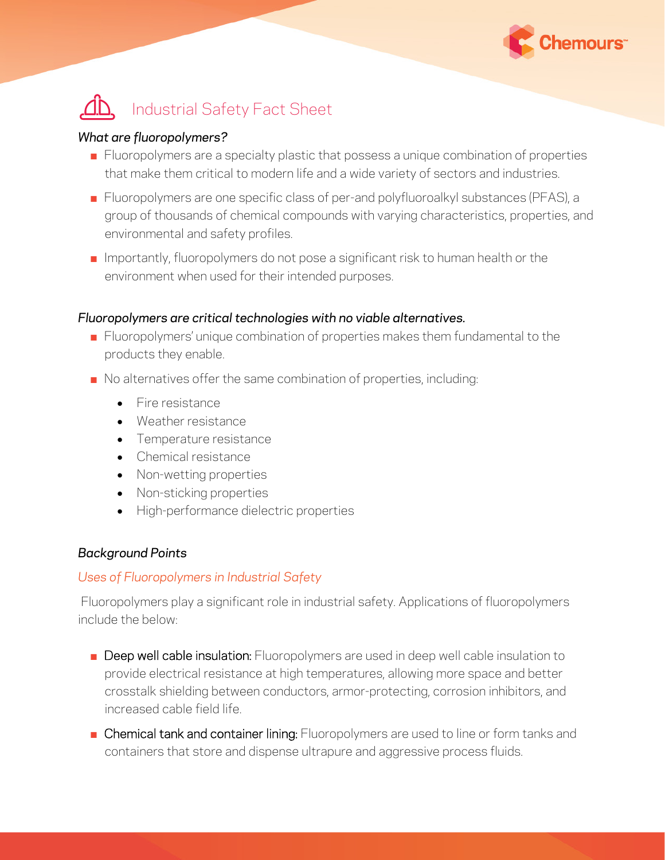

# Industrial Safety Fact Sheet

#### *What are fluoropolymers?*

- **EXECT** Fluoropolymers are a specialty plastic that possess a unique combination of properties that make them critical to modern life and a wide variety of sectors and industries.
- Fluoropolymers are one specific class of per-and polyfluoroalkyl substances (PFAS), a group of thousands of chemical compounds with varying characteristics, properties, and environmental and safety profiles.
- $\blacksquare$  Importantly, fluoropolymers do not pose a significant risk to human health or the environment when used for their intended purposes.

#### *Fluoropolymers are critical technologies with no viable alternatives.*

- Fluoropolymers' unique combination of properties makes them fundamental to the products they enable.
- No alternatives offer the same combination of properties, including:
	- Fire resistance
	- Weather resistance
	- Temperature resistance
	- Chemical resistance
	- Non-wetting properties
	- Non-sticking properties
	- High-performance dielectric properties

### *Background Points*

### *Uses of Fluoropolymers in Industrial Safety*

Fluoropolymers play a significant role in industrial safety. Applications of fluoropolymers include the below:

- **E** Deep well cable insulation: Fluoropolymers are used in deep well cable insulation to provide electrical resistance at high temperatures, allowing more space and better crosstalk shielding between conductors, armor-protecting, corrosion inhibitors, and increased cable field life.
- Chemical tank and container lining: Fluoropolymers are used to line or form tanks and containers that store and dispense ultrapure and aggressive process fluids.